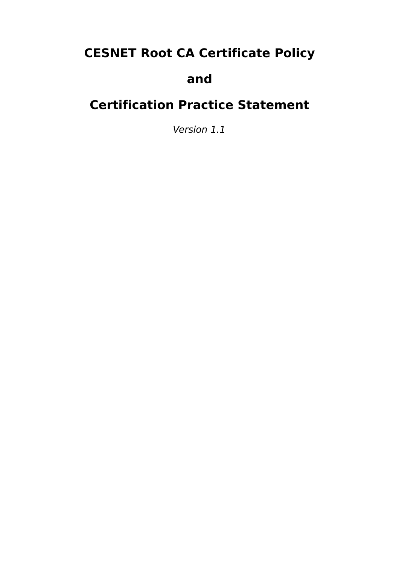# **CESNET Root CA Certificate Policy**

# **and**

# **Certification Practice Statement**

Version 1.1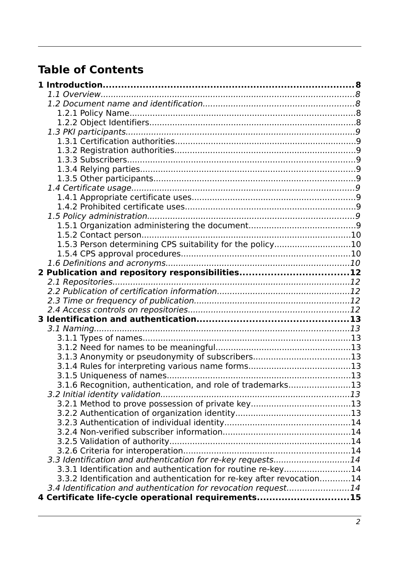# **Table of Contents**

| 1.5.3 Person determining CPS suitability for the policy10             |  |
|-----------------------------------------------------------------------|--|
|                                                                       |  |
| 2 Publication and repository responsibilities12                       |  |
|                                                                       |  |
|                                                                       |  |
|                                                                       |  |
|                                                                       |  |
|                                                                       |  |
|                                                                       |  |
|                                                                       |  |
|                                                                       |  |
| 3.1.3 Anonymity or pseudonymity of subscribers13                      |  |
|                                                                       |  |
|                                                                       |  |
| 3.1.6 Recognition, authentication, and role of trademarks13           |  |
|                                                                       |  |
|                                                                       |  |
|                                                                       |  |
|                                                                       |  |
|                                                                       |  |
|                                                                       |  |
|                                                                       |  |
| 3.3 Identification and authentication for re-key requests14           |  |
| 3.3.1 Identification and authentication for routine re-key14          |  |
| 3.3.2 Identification and authentication for re-key after revocation14 |  |
| 3.4 Identification and authentication for revocation request14        |  |
| 4 Certificate life-cycle operational requirements15                   |  |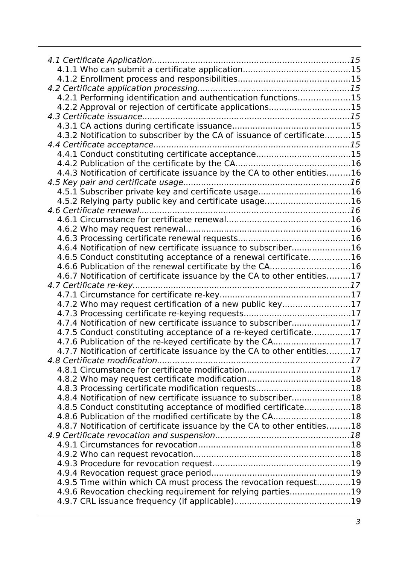| 4.2.1 Performing identification and authentication functions15           |  |
|--------------------------------------------------------------------------|--|
| 4.2.2 Approval or rejection of certificate applications15                |  |
|                                                                          |  |
|                                                                          |  |
| 4.3.2 Notification to subscriber by the CA of issuance of certificate15  |  |
|                                                                          |  |
| 4.4.1 Conduct constituting certificate acceptance15                      |  |
|                                                                          |  |
| 4.4.3 Notification of certificate issuance by the CA to other entities16 |  |
|                                                                          |  |
| 4.5.1 Subscriber private key and certificate usage16                     |  |
| 4.5.2 Relying party public key and certificate usage16                   |  |
|                                                                          |  |
|                                                                          |  |
|                                                                          |  |
|                                                                          |  |
| 4.6.4 Notification of new certificate issuance to subscriber16           |  |
| 4.6.5 Conduct constituting acceptance of a renewal certificate16         |  |
| 4.6.6 Publication of the renewal certificate by the CA16                 |  |
| 4.6.7 Notification of certificate issuance by the CA to other entities17 |  |
|                                                                          |  |
|                                                                          |  |
| 4.7.2 Who may request certification of a new public key17                |  |
|                                                                          |  |
| 4.7.4 Notification of new certificate issuance to subscriber17           |  |
| 4.7.5 Conduct constituting acceptance of a re-keyed certificate17        |  |
| 4.7.6 Publication of the re-keyed certificate by the CA17                |  |
| 4.7.7 Notification of certificate issuance by the CA to other entities17 |  |
|                                                                          |  |
|                                                                          |  |
|                                                                          |  |
|                                                                          |  |
| 4.8.4 Notification of new certificate issuance to subscriber18           |  |
| 4.8.5 Conduct constituting acceptance of modified certificate18          |  |
| 4.8.6 Publication of the modified certificate by the CA18                |  |
| 4.8.7 Notification of certificate issuance by the CA to other entities18 |  |
|                                                                          |  |
|                                                                          |  |
|                                                                          |  |
|                                                                          |  |
|                                                                          |  |
| 4.9.5 Time within which CA must process the revocation request19         |  |
| 4.9.6 Revocation checking requirement for relying parties19              |  |
|                                                                          |  |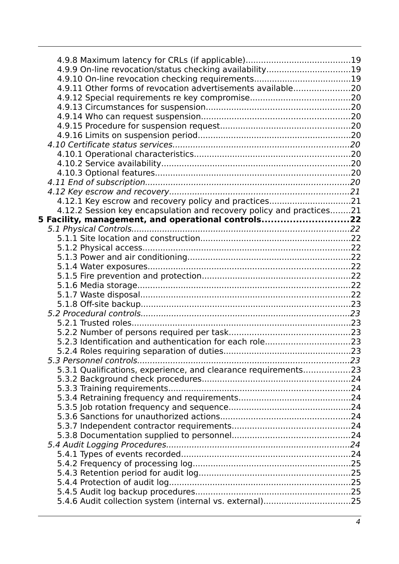| 4.9.9 On-line revocation/status checking availability19              |  |
|----------------------------------------------------------------------|--|
|                                                                      |  |
| 4.9.11 Other forms of revocation advertisements available20          |  |
|                                                                      |  |
|                                                                      |  |
|                                                                      |  |
|                                                                      |  |
|                                                                      |  |
|                                                                      |  |
|                                                                      |  |
|                                                                      |  |
|                                                                      |  |
|                                                                      |  |
|                                                                      |  |
|                                                                      |  |
| 4.12.1 Key escrow and recovery policy and practices21                |  |
| 4.12.2 Session key encapsulation and recovery policy and practices21 |  |
| 5 Facility, management, and operational controls22                   |  |
|                                                                      |  |
|                                                                      |  |
|                                                                      |  |
|                                                                      |  |
|                                                                      |  |
|                                                                      |  |
|                                                                      |  |
|                                                                      |  |
|                                                                      |  |
|                                                                      |  |
|                                                                      |  |
|                                                                      |  |
|                                                                      |  |
|                                                                      |  |
|                                                                      |  |
| 5.3.1 Qualifications, experience, and clearance requirements23       |  |
|                                                                      |  |
|                                                                      |  |
|                                                                      |  |
|                                                                      |  |
|                                                                      |  |
|                                                                      |  |
|                                                                      |  |
|                                                                      |  |
|                                                                      |  |
|                                                                      |  |
|                                                                      |  |
|                                                                      |  |
|                                                                      |  |
| 5.4.6 Audit collection system (internal vs. external)25              |  |
|                                                                      |  |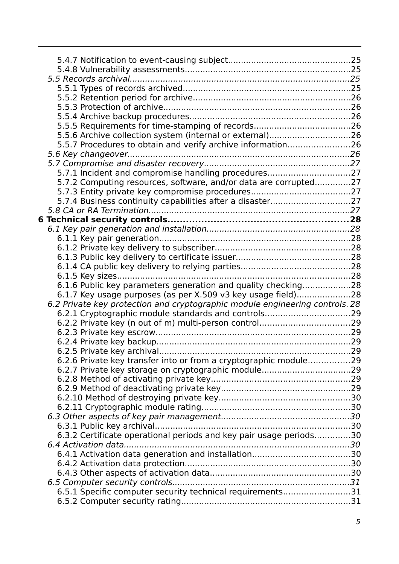| 5.5.5 Requirements for time-stamping of records26                            |  |
|------------------------------------------------------------------------------|--|
| 5.5.6 Archive collection system (internal or external)26                     |  |
| 5.5.7 Procedures to obtain and verify archive information26                  |  |
|                                                                              |  |
|                                                                              |  |
| 5.7.1 Incident and compromise handling procedures27                          |  |
| 5.7.2 Computing resources, software, and/or data are corrupted27             |  |
|                                                                              |  |
| 5.7.4 Business continuity capabilities after a disaster27                    |  |
|                                                                              |  |
|                                                                              |  |
|                                                                              |  |
|                                                                              |  |
|                                                                              |  |
|                                                                              |  |
|                                                                              |  |
|                                                                              |  |
| 6.1.6 Public key parameters generation and quality checking28                |  |
| 6.1.7 Key usage purposes (as per X.509 v3 key usage field)28                 |  |
| 6.2 Private key protection and cryptographic module engineering controls. 28 |  |
| 6.2.1 Cryptographic module standards and controls29                          |  |
|                                                                              |  |
|                                                                              |  |
|                                                                              |  |
|                                                                              |  |
| 6.2.6 Private key transfer into or from a cryptographic module29             |  |
|                                                                              |  |
|                                                                              |  |
|                                                                              |  |
|                                                                              |  |
|                                                                              |  |
|                                                                              |  |
| 6.3.2 Certificate operational periods and key pair usage periods30           |  |
|                                                                              |  |
|                                                                              |  |
|                                                                              |  |
|                                                                              |  |
|                                                                              |  |
| 6.5.1 Specific computer security technical requirements31                    |  |
|                                                                              |  |
|                                                                              |  |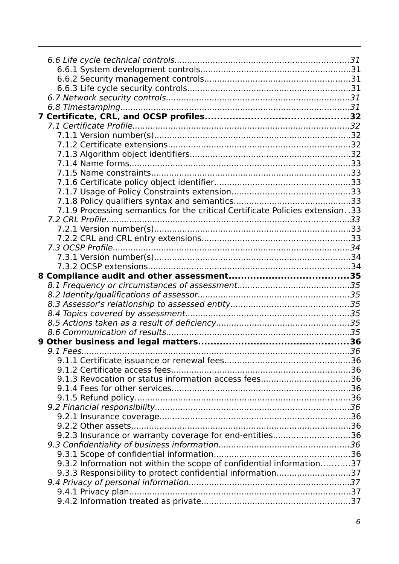| 7.1.9 Processing semantics for the critical Certificate Policies extension. .33 |  |
|---------------------------------------------------------------------------------|--|
|                                                                                 |  |
|                                                                                 |  |
|                                                                                 |  |
|                                                                                 |  |
|                                                                                 |  |
|                                                                                 |  |
|                                                                                 |  |
|                                                                                 |  |
|                                                                                 |  |
|                                                                                 |  |
|                                                                                 |  |
|                                                                                 |  |
|                                                                                 |  |
|                                                                                 |  |
|                                                                                 |  |
|                                                                                 |  |
|                                                                                 |  |
|                                                                                 |  |
|                                                                                 |  |
|                                                                                 |  |
|                                                                                 |  |
|                                                                                 |  |
|                                                                                 |  |
| 9.2.3 Insurance or warranty coverage for end-entities36                         |  |
|                                                                                 |  |
|                                                                                 |  |
| 9.3.2 Information not within the scope of confidential information37            |  |
| 9.3.3 Responsibility to protect confidential information37                      |  |
|                                                                                 |  |
|                                                                                 |  |
|                                                                                 |  |
|                                                                                 |  |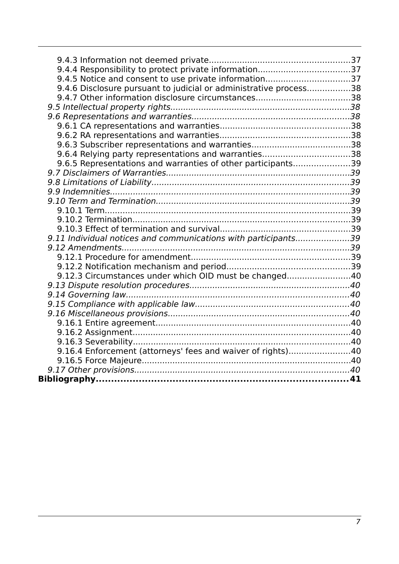| 9.4.5 Notice and consent to use private information37             |  |
|-------------------------------------------------------------------|--|
| 9.4.6 Disclosure pursuant to judicial or administrative process38 |  |
|                                                                   |  |
|                                                                   |  |
|                                                                   |  |
|                                                                   |  |
|                                                                   |  |
|                                                                   |  |
| 9.6.4 Relying party representations and warranties38              |  |
| 9.6.5 Representations and warranties of other participants39      |  |
|                                                                   |  |
|                                                                   |  |
|                                                                   |  |
|                                                                   |  |
|                                                                   |  |
|                                                                   |  |
|                                                                   |  |
| 9.11 Individual notices and communications with participants39    |  |
|                                                                   |  |
|                                                                   |  |
|                                                                   |  |
| 9.12.3 Circumstances under which OID must be changed40            |  |
|                                                                   |  |
|                                                                   |  |
|                                                                   |  |
|                                                                   |  |
|                                                                   |  |
|                                                                   |  |
|                                                                   |  |
| 9.16.4 Enforcement (attorneys' fees and waiver of rights)40       |  |
|                                                                   |  |
|                                                                   |  |
|                                                                   |  |
|                                                                   |  |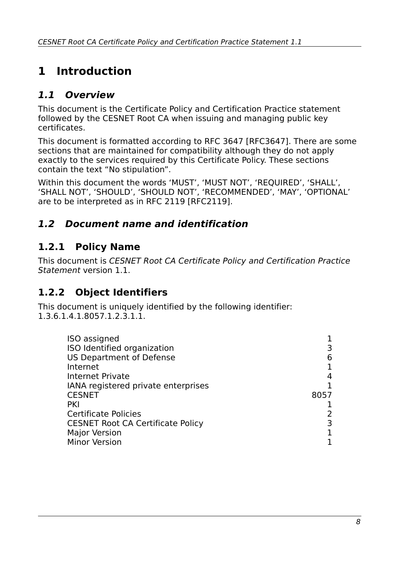# **1 Introduction**

# **1.1 Overview**

This document is the Certificate Policy and Certification Practice statement followed by the CESNET Root CA when issuing and managing public key certificates.

This document is formatted according to RFC 3647 [RFC3647]. There are some sections that are maintained for compatibility although they do not apply exactly to the services required by this Certificate Policy. These sections contain the text "No stipulation".

Within this document the words 'MUST', 'MUST NOT', 'REQUIRED', 'SHALL', 'SHALL NOT', 'SHOULD', 'SHOULD NOT', 'RECOMMENDED', 'MAY', 'OPTIONAL' are to be interpreted as in RFC 2119 [RFC2119].

# **1.2 Document name and identification**

# **1.2.1 Policy Name**

This document is CESNET Root CA Certificate Policy and Certification Practice Statement version 1.1.

# <span id="page-7-0"></span>**1.2.2 Object Identifiers**

This document is uniquely identified by the following identifier: 1.3.6.1.4.1.8057.1.2.3.1.1.

| ISO assigned                             |      |
|------------------------------------------|------|
| ISO Identified organization              |      |
| <b>US Department of Defense</b>          | 6    |
| Internet                                 |      |
| <b>Internet Private</b>                  |      |
| IANA registered private enterprises      |      |
| <b>CESNET</b>                            | 8057 |
| <b>PKI</b>                               |      |
| <b>Certificate Policies</b>              |      |
| <b>CESNET Root CA Certificate Policy</b> |      |
| <b>Major Version</b>                     |      |
| <b>Minor Version</b>                     |      |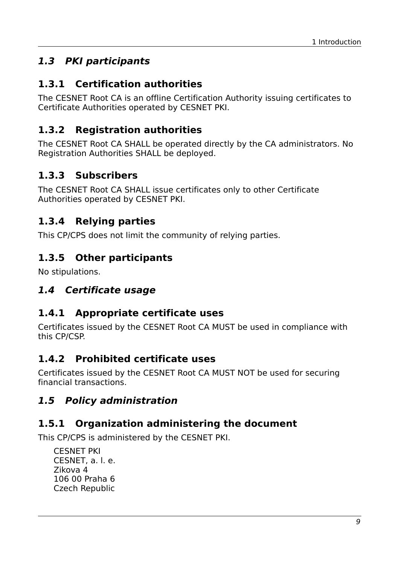# **1.3 PKI participants**

### **1.3.1 Certification authorities**

The CESNET Root CA is an offline Certification Authority issuing certificates to Certificate Authorities operated by CESNET PKI.

# **1.3.2 Registration authorities**

The CESNET Root CA SHALL be operated directly by the CA administrators. No Registration Authorities SHALL be deployed.

# **1.3.3 Subscribers**

The CESNET Root CA SHALL issue certificates only to other Certificate Authorities operated by CESNET PKI.

### **1.3.4 Relying parties**

This CP/CPS does not limit the community of relying parties.

# **1.3.5 Other participants**

No stipulations.

#### **1.4 Certificate usage**

#### **1.4.1 Appropriate certificate uses**

Certificates issued by the CESNET Root CA MUST be used in compliance with this CP/CSP.

#### **1.4.2 Prohibited certificate uses**

Certificates issued by the CESNET Root CA MUST NOT be used for securing financial transactions.

### **1.5 Policy administration**

### **1.5.1 Organization administering the document**

This CP/CPS is administered by the CESNET PKI.

CESNET PKI CESNET, a. l. e. Zikova 4 106 00 Praha 6 Czech Republic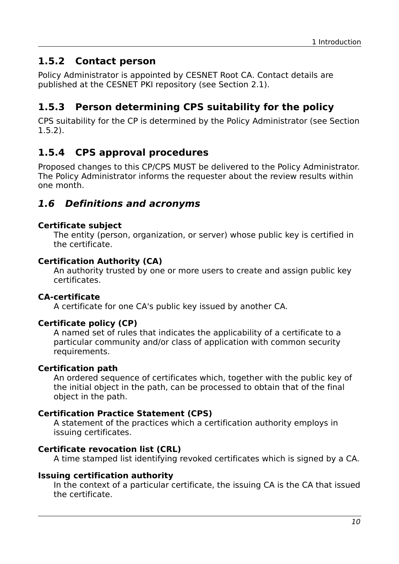#### <span id="page-9-0"></span>**1.5.2 Contact person**

Policy Administrator is appointed by CESNET Root CA. Contact details are published at the CESNET PKI repository (see Section [2.1\)](#page-11-0).

# **1.5.3 Person determining CPS suitability for the policy**

CPS suitability for the CP is determined by the Policy Administrator (see Section [1.5.2\)](#page-9-0).

# **1.5.4 CPS approval procedures**

Proposed changes to this CP/CPS MUST be delivered to the Policy Administrator. The Policy Administrator informs the requester about the review results within one month.

#### **1.6 Definitions and acronyms**

#### **Certificate subject**

The entity (person, organization, or server) whose public key is certified in the certificate.

#### **Certification Authority (CA)**

An authority trusted by one or more users to create and assign public key certificates.

#### **CA-certificate**

A certificate for one CA's public key issued by another CA.

#### **Certificate policy (CP)**

A named set of rules that indicates the applicability of a certificate to a particular community and/or class of application with common security requirements.

#### **Certification path**

An ordered sequence of certificates which, together with the public key of the initial object in the path, can be processed to obtain that of the final object in the path.

#### **Certification Practice Statement (CPS)**

A statement of the practices which a certification authority employs in issuing certificates.

#### **Certificate revocation list (CRL)**

A time stamped list identifying revoked certificates which is signed by a CA.

#### **Issuing certification authority**

In the context of a particular certificate, the issuing CA is the CA that issued the certificate.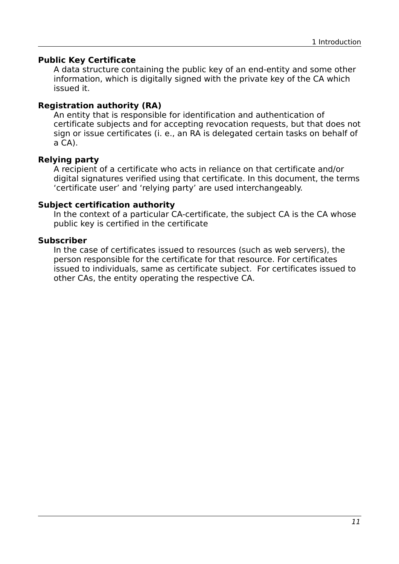#### **Public Key Certificate**

A data structure containing the public key of an end-entity and some other information, which is digitally signed with the private key of the CA which issued it.

#### **Registration authority (RA)**

An entity that is responsible for identification and authentication of certificate subjects and for accepting revocation requests, but that does not sign or issue certificates (i. e., an RA is delegated certain tasks on behalf of a CA).

#### **Relying party**

A recipient of a certificate who acts in reliance on that certificate and/or digital signatures verified using that certificate. In this document, the terms 'certificate user' and 'relying party' are used interchangeably.

#### **Subject certification authority**

In the context of a particular CA-certificate, the subject CA is the CA whose public key is certified in the certificate

#### **Subscriber**

In the case of certificates issued to resources (such as web servers), the person responsible for the certificate for that resource. For certificates issued to individuals, same as certificate subject. For certificates issued to other CAs, the entity operating the respective CA.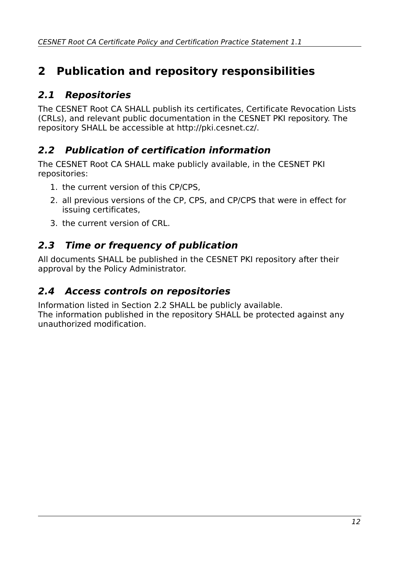# **2 Publication and repository responsibilities**

# <span id="page-11-0"></span>**2.1 Repositories**

The CESNET Root CA SHALL publish its certificates, Certificate Revocation Lists (CRLs), and relevant public documentation in the CESNET PKI repository. The repository SHALL be accessible at http://pki.cesnet.cz/.

# <span id="page-11-1"></span>**2.2 Publication of certification information**

The CESNET Root CA SHALL make publicly available, in the CESNET PKI repositories:

- 1. the current version of this CP/CPS,
- 2. all previous versions of the CP, CPS, and CP/CPS that were in effect for issuing certificates,
- 3. the current version of CRL.

# **2.3 Time or frequency of publication**

All documents SHALL be published in the CESNET PKI repository after their approval by the Policy Administrator.

### **2.4 Access controls on repositories**

Information listed in Section [2.2](#page-11-1) SHALL be publicly available. The information published in the repository SHALL be protected against any unauthorized modification.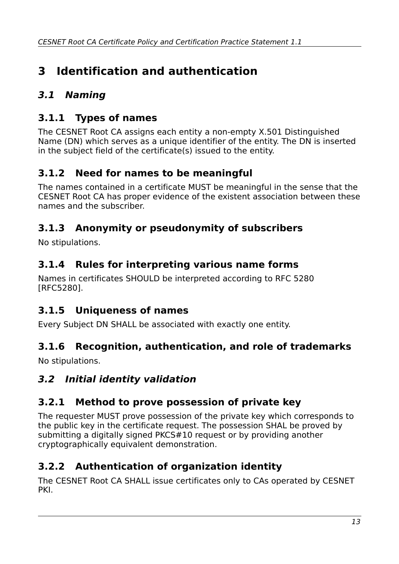# **3 Identification and authentication**

# **3.1 Naming**

# **3.1.1 Types of names**

The CESNET Root CA assigns each entity a non-empty X.501 Distinguished Name (DN) which serves as a unique identifier of the entity. The DN is inserted in the subject field of the certificate(s) issued to the entity.

# **3.1.2 Need for names to be meaningful**

The names contained in a certificate MUST be meaningful in the sense that the CESNET Root CA has proper evidence of the existent association between these names and the subscriber.

# **3.1.3 Anonymity or pseudonymity of subscribers**

No stipulations.

# **3.1.4 Rules for interpreting various name forms**

Names in certificates SHOULD be interpreted according to RFC 5280 [RFC5280].

### **3.1.5 Uniqueness of names**

Every Subject DN SHALL be associated with exactly one entity.

### **3.1.6 Recognition, authentication, and role of trademarks**

No stipulations.

# **3.2 Initial identity validation**

# **3.2.1 Method to prove possession of private key**

The requester MUST prove possession of the private key which corresponds to the public key in the certificate request. The possession SHAL be proved by submitting a digitally signed PKCS#10 request or by providing another cryptographically equivalent demonstration.

# **3.2.2 Authentication of organization identity**

The CESNET Root CA SHALL issue certificates only to CAs operated by CESNET PKI.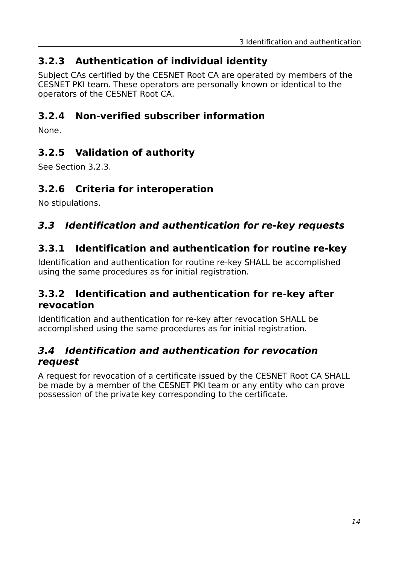### <span id="page-13-0"></span>**3.2.3 Authentication of individual identity**

Subject CAs certified by the CESNET Root CA are operated by members of the CESNET PKI team. These operators are personally known or identical to the operators of the CESNET Root CA.

### **3.2.4 Non-verified subscriber information**

None.

# **3.2.5 Validation of authority**

See Section [3.2.3.](#page-13-0)

#### **3.2.6 Criteria for interoperation**

No stipulations.

#### **3.3 Identification and authentication for re-key requests**

#### **3.3.1 Identification and authentication for routine re-key**

Identification and authentication for routine re-key SHALL be accomplished using the same procedures as for initial registration.

#### **3.3.2 Identification and authentication for re-key after revocation**

Identification and authentication for re-key after revocation SHALL be accomplished using the same procedures as for initial registration.

#### **3.4 Identification and authentication for revocation request**

A request for revocation of a certificate issued by the CESNET Root CA SHALL be made by a member of the CESNET PKI team or any entity who can prove possession of the private key corresponding to the certificate.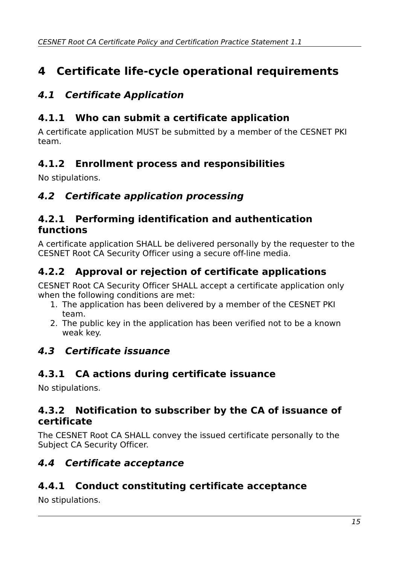# **4 Certificate life-cycle operational requirements**

# **4.1 Certificate Application**

# **4.1.1 Who can submit a certificate application**

A certificate application MUST be submitted by a member of the CESNET PKI team.

# **4.1.2 Enrollment process and responsibilities**

No stipulations.

# **4.2 Certificate application processing**

#### **4.2.1 Performing identification and authentication functions**

A certificate application SHALL be delivered personally by the requester to the CESNET Root CA Security Officer using a secure off-line media.

# **4.2.2 Approval or rejection of certificate applications**

CESNET Root CA Security Officer SHALL accept a certificate application only when the following conditions are met:

- 1. The application has been delivered by a member of the CESNET PKI team.
- 2. The public key in the application has been verified not to be a known weak key.

# **4.3 Certificate issuance**

# **4.3.1 CA actions during certificate issuance**

No stipulations.

#### **4.3.2 Notification to subscriber by the CA of issuance of certificate**

The CESNET Root CA SHALL convey the issued certificate personally to the Subject CA Security Officer.

# **4.4 Certificate acceptance**

# **4.4.1 Conduct constituting certificate acceptance**

No stipulations.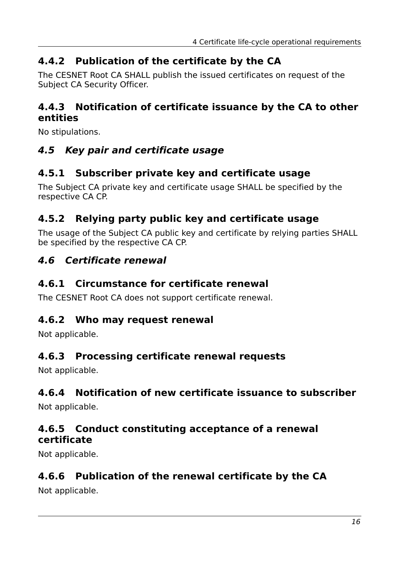# **4.4.2 Publication of the certificate by the CA**

The CESNET Root CA SHALL publish the issued certificates on request of the Subject CA Security Officer.

#### **4.4.3 Notification of certificate issuance by the CA to other entities**

No stipulations.

### **4.5 Key pair and certificate usage**

### **4.5.1 Subscriber private key and certificate usage**

The Subject CA private key and certificate usage SHALL be specified by the respective CA CP.

### **4.5.2 Relying party public key and certificate usage**

The usage of the Subject CA public key and certificate by relying parties SHALL be specified by the respective CA CP.

#### **4.6 Certificate renewal**

#### **4.6.1 Circumstance for certificate renewal**

The CESNET Root CA does not support certificate renewal.

#### **4.6.2 Who may request renewal**

Not applicable.

#### **4.6.3 Processing certificate renewal requests**

Not applicable.

### **4.6.4 Notification of new certificate issuance to subscriber**

Not applicable.

#### **4.6.5 Conduct constituting acceptance of a renewal certificate**

Not applicable.

#### **4.6.6 Publication of the renewal certificate by the CA**

Not applicable.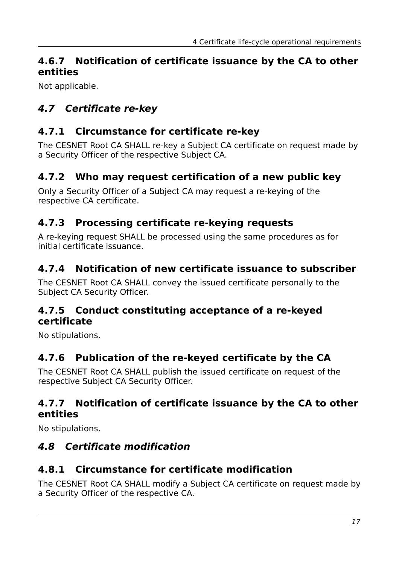### **4.6.7 Notification of certificate issuance by the CA to other entities**

Not applicable.

# **4.7 Certificate re-key**

### **4.7.1 Circumstance for certificate re-key**

The CESNET Root CA SHALL re-key a Subject CA certificate on request made by a Security Officer of the respective Subject CA.

# **4.7.2 Who may request certification of a new public key**

Only a Security Officer of a Subject CA may request a re-keying of the respective CA certificate.

# **4.7.3 Processing certificate re-keying requests**

A re-keying request SHALL be processed using the same procedures as for initial certificate issuance.

# **4.7.4 Notification of new certificate issuance to subscriber**

The CESNET Root CA SHALL convey the issued certificate personally to the Subject CA Security Officer.

#### **4.7.5 Conduct constituting acceptance of a re-keyed certificate**

No stipulations.

# **4.7.6 Publication of the re-keyed certificate by the CA**

The CESNET Root CA SHALL publish the issued certificate on request of the respective Subject CA Security Officer.

### **4.7.7 Notification of certificate issuance by the CA to other entities**

No stipulations.

# **4.8 Certificate modification**

# **4.8.1 Circumstance for certificate modification**

The CESNET Root CA SHALL modify a Subject CA certificate on request made by a Security Officer of the respective CA.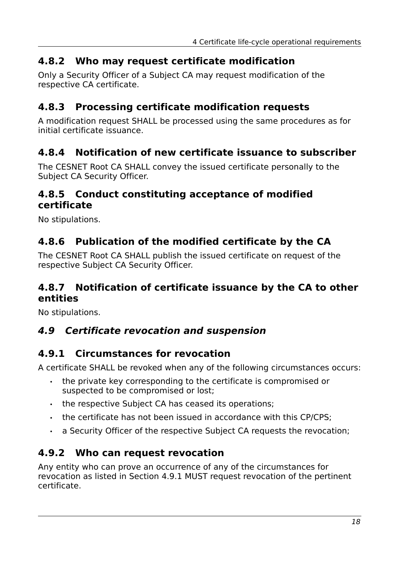#### **4.8.2 Who may request certificate modification**

Only a Security Officer of a Subject CA may request modification of the respective CA certificate.

#### **4.8.3 Processing certificate modification requests**

A modification request SHALL be processed using the same procedures as for initial certificate issuance.

#### **4.8.4 Notification of new certificate issuance to subscriber**

The CESNET Root CA SHALL convey the issued certificate personally to the Subject CA Security Officer.

#### **4.8.5 Conduct constituting acceptance of modified certificate**

No stipulations.

### **4.8.6 Publication of the modified certificate by the CA**

The CESNET Root CA SHALL publish the issued certificate on request of the respective Subject CA Security Officer.

#### **4.8.7 Notification of certificate issuance by the CA to other entities**

No stipulations.

#### **4.9 Certificate revocation and suspension**

#### <span id="page-17-0"></span>**4.9.1 Circumstances for revocation**

A certificate SHALL be revoked when any of the following circumstances occurs:

- the private key corresponding to the certificate is compromised or suspected to be compromised or lost;
- the respective Subject CA has ceased its operations;
- the certificate has not been issued in accordance with this CP/CPS;
- <span id="page-17-1"></span>• a Security Officer of the respective Subiect CA requests the revocation:

#### **4.9.2 Who can request revocation**

Any entity who can prove an occurrence of any of the circumstances for revocation as listed in Section [4.9.1](#page-17-0) MUST request revocation of the pertinent certificate.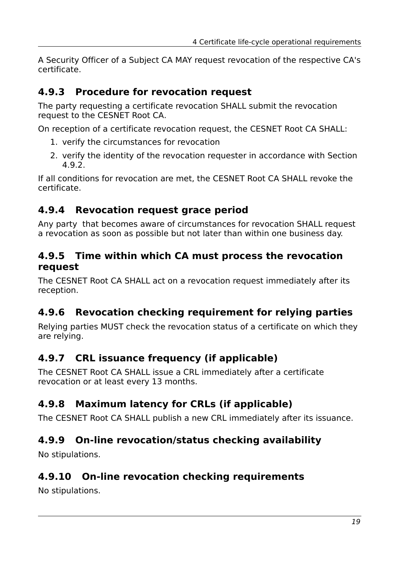A Security Officer of a Subject CA MAY request revocation of the respective CA's certificate.

#### **4.9.3 Procedure for revocation request**

The party requesting a certificate revocation SHALL submit the revocation request to the CESNET Root CA.

On reception of a certificate revocation request, the CESNET Root CA SHALL:

- 1. verify the circumstances for revocation
- 2. verify the identity of the revocation requester in accordance with Section [4.9.2.](#page-17-1)

If all conditions for revocation are met, the CESNET Root CA SHALL revoke the certificate.

#### **4.9.4 Revocation request grace period**

Any party that becomes aware of circumstances for revocation SHALL request a revocation as soon as possible but not later than within one business day.

#### **4.9.5 Time within which CA must process the revocation request**

The CESNET Root CA SHALL act on a revocation request immediately after its reception.

# **4.9.6 Revocation checking requirement for relying parties**

Relying parties MUST check the revocation status of a certificate on which they are relying.

### **4.9.7 CRL issuance frequency (if applicable)**

The CESNET Root CA SHALL issue a CRL immediately after a certificate revocation or at least every 13 months.

# **4.9.8 Maximum latency for CRLs (if applicable)**

The CESNET Root CA SHALL publish a new CRL immediately after its issuance.

#### **4.9.9 On-line revocation/status checking availability**

No stipulations.

### **4.9.10 On-line revocation checking requirements**

No stipulations.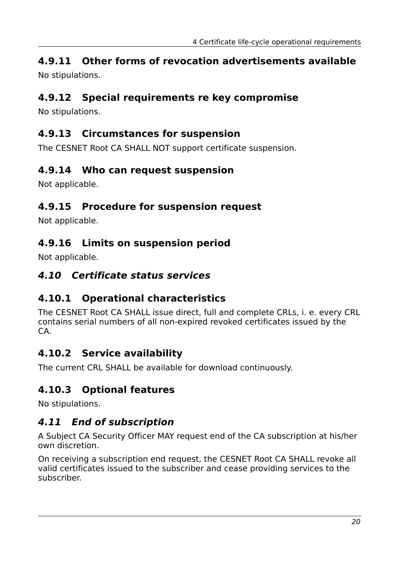# **4.9.11 Other forms of revocation advertisements available**

No stipulations.

# **4.9.12 Special requirements re key compromise**

No stipulations.

### **4.9.13 Circumstances for suspension**

The CESNET Root CA SHALL NOT support certificate suspension.

### **4.9.14 Who can request suspension**

Not applicable.

### **4.9.15 Procedure for suspension request**

Not applicable.

### **4.9.16 Limits on suspension period**

Not applicable.

### **4.10 Certificate status services**

# **4.10.1 Operational characteristics**

The CESNET Root CA SHALL issue direct, full and complete CRLs, i. e. every CRL contains serial numbers of all non-expired revoked certificates issued by the CA.

# **4.10.2 Service availability**

The current CRL SHALL be available for download continuously.

# **4.10.3 Optional features**

No stipulations.

# **4.11 End of subscription**

A Subject CA Security Officer MAY request end of the CA subscription at his/her own discretion.

On receiving a subscription end request, the CESNET Root CA SHALL revoke all valid certificates issued to the subscriber and cease providing services to the subscriber.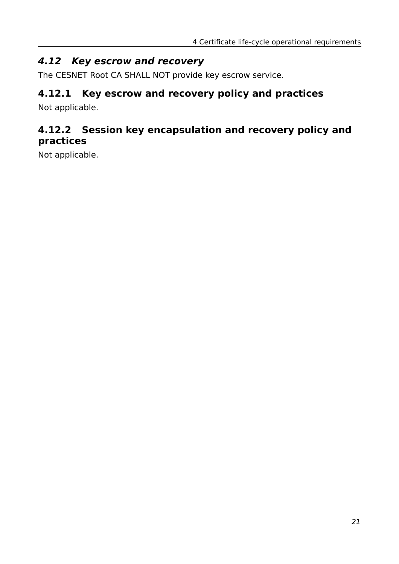#### **4.12 Key escrow and recovery**

The CESNET Root CA SHALL NOT provide key escrow service.

# **4.12.1 Key escrow and recovery policy and practices**

Not applicable.

### **4.12.2 Session key encapsulation and recovery policy and practices**

Not applicable.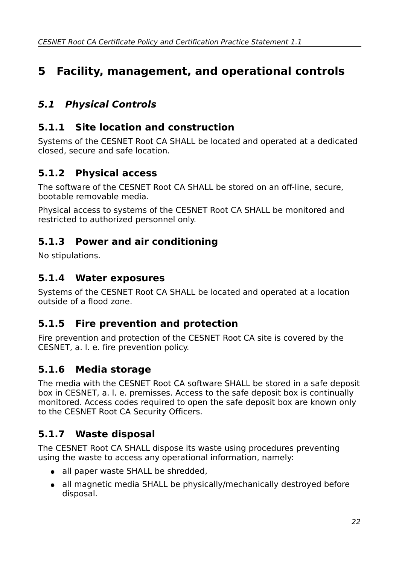# **5 Facility, management, and operational controls**

# **5.1 Physical Controls**

#### **5.1.1 Site location and construction**

Systems of the CESNET Root CA SHALL be located and operated at a dedicated closed, secure and safe location.

# **5.1.2 Physical access**

The software of the CESNET Root CA SHALL be stored on an off-line, secure, bootable removable media.

Physical access to systems of the CESNET Root CA SHALL be monitored and restricted to authorized personnel only.

### **5.1.3 Power and air conditioning**

No stipulations.

#### **5.1.4 Water exposures**

Systems of the CESNET Root CA SHALL be located and operated at a location outside of a flood zone.

#### **5.1.5 Fire prevention and protection**

Fire prevention and protection of the CESNET Root CA site is covered by the CESNET, a. l. e. fire prevention policy.

### **5.1.6 Media storage**

The media with the CESNET Root CA software SHALL be stored in a safe deposit box in CESNET, a. l. e. premisses. Access to the safe deposit box is continually monitored. Access codes required to open the safe deposit box are known only to the CESNET Root CA Security Officers.

# **5.1.7 Waste disposal**

The CESNET Root CA SHALL dispose its waste using procedures preventing using the waste to access any operational information, namely:

- all paper waste SHALL be shredded.
- all magnetic media SHALL be physically/mechanically destroyed before disposal.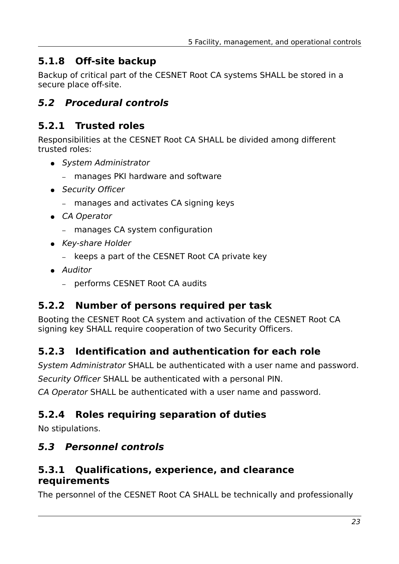### **5.1.8 Off-site backup**

Backup of critical part of the CESNET Root CA systems SHALL be stored in a secure place off-site.

### **5.2 Procedural controls**

### **5.2.1 Trusted roles**

Responsibilities at the CESNET Root CA SHALL be divided among different trusted roles:

- System Administrator
	- manages PKI hardware and software
- Security Officer
	- manages and activates CA signing keys
- CA Operator
	- manages CA system configuration
- Key-share Holder
	- keeps a part of the CESNET Root CA private key
- Auditor
	- performs CESNET Root CA audits

### **5.2.2 Number of persons required per task**

Booting the CESNET Root CA system and activation of the CESNET Root CA signing key SHALL require cooperation of two Security Officers.

# **5.2.3 Identification and authentication for each role**

System Administrator SHALL be authenticated with a user name and password.

Security Officer SHALL be authenticated with a personal PIN.

CA Operator SHALL be authenticated with a user name and password.

# **5.2.4 Roles requiring separation of duties**

No stipulations.

# **5.3 Personnel controls**

### **5.3.1 Qualifications, experience, and clearance requirements**

The personnel of the CESNET Root CA SHALL be technically and professionally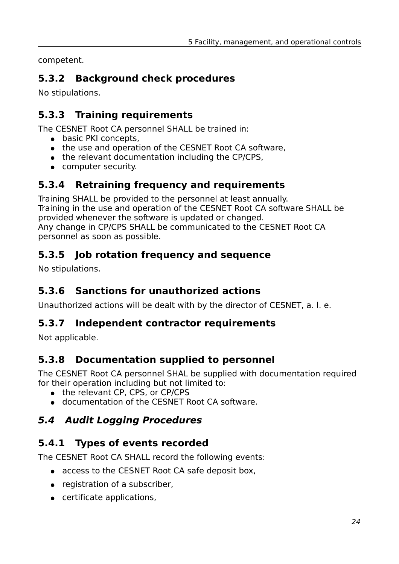competent.

# **5.3.2 Background check procedures**

No stipulations.

# **5.3.3 Training requirements**

The CESNET Root CA personnel SHALL be trained in:

- basic PKI concepts,
- the use and operation of the CESNET Root CA software,
- the relevant documentation including the CP/CPS,
- computer security.

# **5.3.4 Retraining frequency and requirements**

Training SHALL be provided to the personnel at least annually. Training in the use and operation of the CESNET Root CA software SHALL be provided whenever the software is updated or changed. Any change in CP/CPS SHALL be communicated to the CESNET Root CA personnel as soon as possible.

# **5.3.5 Job rotation frequency and sequence**

No stipulations.

# **5.3.6 Sanctions for unauthorized actions**

Unauthorized actions will be dealt with by the director of CESNET, a. l. e.

# **5.3.7 Independent contractor requirements**

Not applicable.

# **5.3.8 Documentation supplied to personnel**

The CESNET Root CA personnel SHAL be supplied with documentation required for their operation including but not limited to:

- the relevant CP, CPS, or CP/CPS
- documentation of the CESNET Root CA software.

# **5.4 Audit Logging Procedures**

# **5.4.1 Types of events recorded**

The CESNET Root CA SHALL record the following events:

- access to the CESNET Root CA safe deposit box,
- registration of a subscriber,
- certificate applications,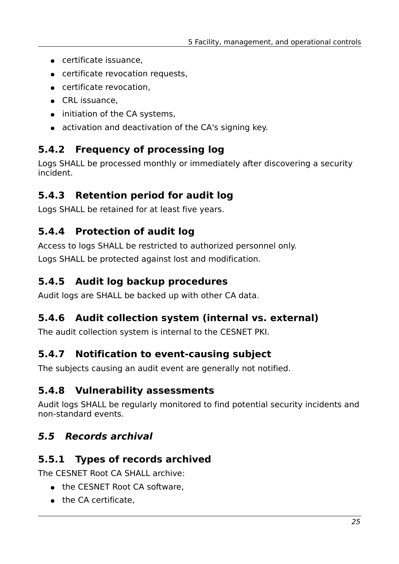- certificate issuance,
- certificate revocation requests,
- certificate revocation,
- CRL issuance,
- initiation of the CA systems.
- activation and deactivation of the CA's signing key.

# **5.4.2 Frequency of processing log**

Logs SHALL be processed monthly or immediately after discovering a security incident.

# **5.4.3 Retention period for audit log**

Logs SHALL be retained for at least five years.

# **5.4.4 Protection of audit log**

Access to logs SHALL be restricted to authorized personnel only. Logs SHALL be protected against lost and modification.

# **5.4.5 Audit log backup procedures**

Audit logs are SHALL be backed up with other CA data.

# **5.4.6 Audit collection system (internal vs. external)**

The audit collection system is internal to the CESNET PKI.

### **5.4.7 Notification to event-causing subject**

The subjects causing an audit event are generally not notified.

### **5.4.8 Vulnerability assessments**

Audit logs SHALL be regularly monitored to find potential security incidents and non-standard events.

# <span id="page-24-1"></span>**5.5 Records archival**

### <span id="page-24-0"></span>**5.5.1 Types of records archived**

The CESNET Root CA SHALL archive:

- the CESNET Root CA software.
- the CA certificate.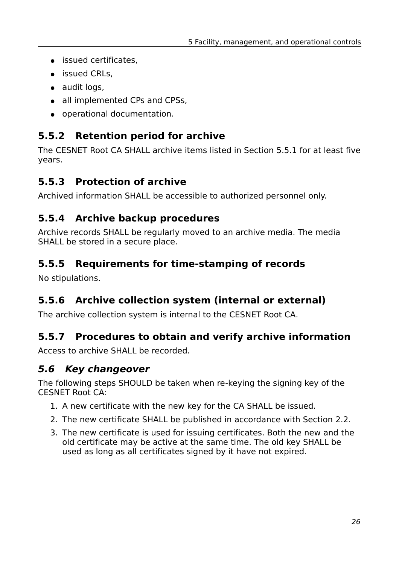- issued certificates,
- issued CRLs.
- audit logs,
- all implemented CPs and CPSs,
- operational documentation.

# **5.5.2 Retention period for archive**

The CESNET Root CA SHALL archive items listed in Section [5.5.1](#page-24-0) for at least five years.

# **5.5.3 Protection of archive**

Archived information SHALL be accessible to authorized personnel only.

# **5.5.4 Archive backup procedures**

Archive records SHALL be regularly moved to an archive media. The media SHALL be stored in a secure place.

# **5.5.5 Requirements for time-stamping of records**

No stipulations.

# **5.5.6 Archive collection system (internal or external)**

The archive collection system is internal to the CESNET Root CA.

# **5.5.7 Procedures to obtain and verify archive information**

Access to archive SHALL be recorded.

# **5.6 Key changeover**

The following steps SHOULD be taken when re-keying the signing key of the CESNET Root CA:

- 1. A new certificate with the new key for the CA SHALL be issued.
- 2. The new certificate SHALL be published in accordance with Section [2.2.](#page-11-1)
- 3. The new certificate is used for issuing certificates. Both the new and the old certificate may be active at the same time. The old key SHALL be used as long as all certificates signed by it have not expired.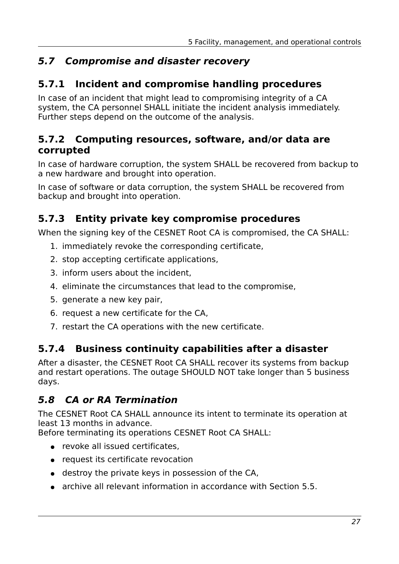# **5.7 Compromise and disaster recovery**

### **5.7.1 Incident and compromise handling procedures**

In case of an incident that might lead to compromising integrity of a CA system, the CA personnel SHALL initiate the incident analysis immediately. Further steps depend on the outcome of the analysis.

#### **5.7.2 Computing resources, software, and/or data are corrupted**

In case of hardware corruption, the system SHALL be recovered from backup to a new hardware and brought into operation.

In case of software or data corruption, the system SHALL be recovered from backup and brought into operation.

# **5.7.3 Entity private key compromise procedures**

When the signing key of the CESNET Root CA is compromised, the CA SHALL:

- 1. immediately revoke the corresponding certificate,
- 2. stop accepting certificate applications,
- 3. inform users about the incident,
- 4. eliminate the circumstances that lead to the compromise,
- 5. generate a new key pair,
- 6. request a new certificate for the CA,
- 7. restart the CA operations with the new certificate.

### **5.7.4 Business continuity capabilities after a disaster**

After a disaster, the CESNET Root CA SHALL recover its systems from backup and restart operations. The outage SHOULD NOT take longer than 5 business days.

# **5.8 CA or RA Termination**

The CESNET Root CA SHALL announce its intent to terminate its operation at least 13 months in advance.

Before terminating its operations CESNET Root CA SHALL:

- revoke all issued certificates.
- request its certificate revocation
- destroy the private keys in possession of the CA,
- archive all relevant information in accordance with Section [5.5.](#page-24-1)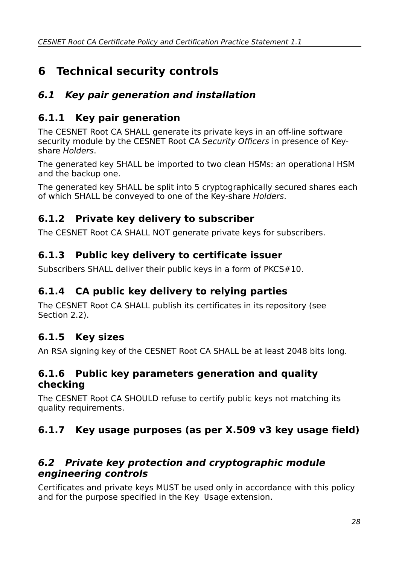# **6 Technical security controls**

# **6.1 Key pair generation and installation**

# **6.1.1 Key pair generation**

The CESNET Root CA SHALL generate its private keys in an off-line software security module by the CESNET Root CA Security Officers in presence of Keyshare Holders.

The generated key SHALL be imported to two clean HSMs: an operational HSM and the backup one.

The generated key SHALL be split into 5 cryptographically secured shares each of which SHALL be conveyed to one of the Key-share Holders.

# <span id="page-27-0"></span>**6.1.2 Private key delivery to subscriber**

The CESNET Root CA SHALL NOT generate private keys for subscribers.

### **6.1.3 Public key delivery to certificate issuer**

Subscribers SHALL deliver their public keys in a form of PKCS#10.

# **6.1.4 CA public key delivery to relying parties**

The CESNET Root CA SHALL publish its certificates in its repository (see Section [2.2\)](#page-11-1).

# **6.1.5 Key sizes**

An RSA signing key of the CESNET Root CA SHALL be at least 2048 bits long.

#### **6.1.6 Public key parameters generation and quality checking**

The CESNET Root CA SHOULD refuse to certify public keys not matching its quality requirements.

# **6.1.7 Key usage purposes (as per X.509 v3 key usage field)**

#### **6.2 Private key protection and cryptographic module engineering controls**

Certificates and private keys MUST be used only in accordance with this policy and for the purpose specified in the Key Usage extension.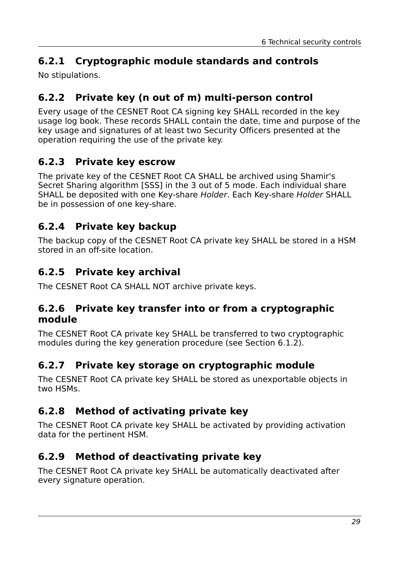# **6.2.1 Cryptographic module standards and controls**

No stipulations.

# **6.2.2 Private key (n out of m) multi-person control**

Every usage of the CESNET Root CA signing key SHALL recorded in the key usage log book. These records SHALL contain the date, time and purpose of the key usage and signatures of at least two Security Officers presented at the operation requiring the use of the private key.

# **6.2.3 Private key escrow**

The private key of the CESNET Root CA SHALL be archived using Shamir's Secret Sharing algorithm [SSS] in the 3 out of 5 mode. Each individual share SHALL be deposited with one Key-share Holder. Each Key-share Holder SHALL be in possession of one key-share.

# **6.2.4 Private key backup**

The backup copy of the CESNET Root CA private key SHALL be stored in a HSM stored in an off-site location.

# **6.2.5 Private key archival**

The CESNET Root CA SHALL NOT archive private keys.

#### **6.2.6 Private key transfer into or from a cryptographic module**

The CESNET Root CA private key SHALL be transferred to two cryptographic modules during the key generation procedure (see Section [6.1.2\)](#page-27-0).

# **6.2.7 Private key storage on cryptographic module**

The CESNET Root CA private key SHALL be stored as unexportable objects in two HSMs.

# **6.2.8 Method of activating private key**

The CESNET Root CA private key SHALL be activated by providing activation data for the pertinent HSM.

# **6.2.9 Method of deactivating private key**

The CESNET Root CA private key SHALL be automatically deactivated after every signature operation.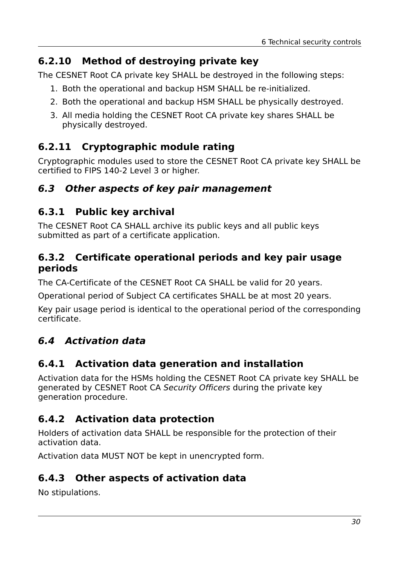# **6.2.10 Method of destroying private key**

The CESNET Root CA private key SHALL be destroyed in the following steps:

- 1. Both the operational and backup HSM SHALL be re-initialized.
- 2. Both the operational and backup HSM SHALL be physically destroyed.
- 3. All media holding the CESNET Root CA private key shares SHALL be physically destroyed.

# **6.2.11 Cryptographic module rating**

Cryptographic modules used to store the CESNET Root CA private key SHALL be certified to FIPS 140-2 Level 3 or higher.

# **6.3 Other aspects of key pair management**

# **6.3.1 Public key archival**

The CESNET Root CA SHALL archive its public keys and all public keys submitted as part of a certificate application.

### **6.3.2 Certificate operational periods and key pair usage periods**

The CA-Certificate of the CESNET Root CA SHALL be valid for 20 years.

Operational period of Subject CA certificates SHALL be at most 20 years.

Key pair usage period is identical to the operational period of the corresponding certificate.

# **6.4 Activation data**

# **6.4.1 Activation data generation and installation**

Activation data for the HSMs holding the CESNET Root CA private key SHALL be generated by CESNET Root CA Security Officers during the private key generation procedure.

# **6.4.2 Activation data protection**

Holders of activation data SHALL be responsible for the protection of their activation data.

Activation data MUST NOT be kept in unencrypted form.

# **6.4.3 Other aspects of activation data**

No stipulations.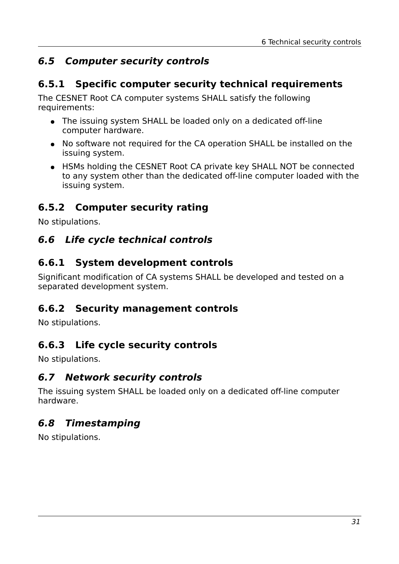# **6.5 Computer security controls**

#### **6.5.1 Specific computer security technical requirements**

The CESNET Root CA computer systems SHALL satisfy the following requirements:

- The issuing system SHALL be loaded only on a dedicated off-line computer hardware.
- No software not required for the CA operation SHALL be installed on the issuing system.
- HSMs holding the CESNET Root CA private key SHALL NOT be connected to any system other than the dedicated off-line computer loaded with the issuing system.

# **6.5.2 Computer security rating**

No stipulations.

# **6.6 Life cycle technical controls**

### **6.6.1 System development controls**

Significant modification of CA systems SHALL be developed and tested on a separated development system.

### **6.6.2 Security management controls**

No stipulations.

# **6.6.3 Life cycle security controls**

No stipulations.

#### **6.7 Network security controls**

The issuing system SHALL be loaded only on a dedicated off-line computer hardware.

# **6.8 Timestamping**

No stipulations.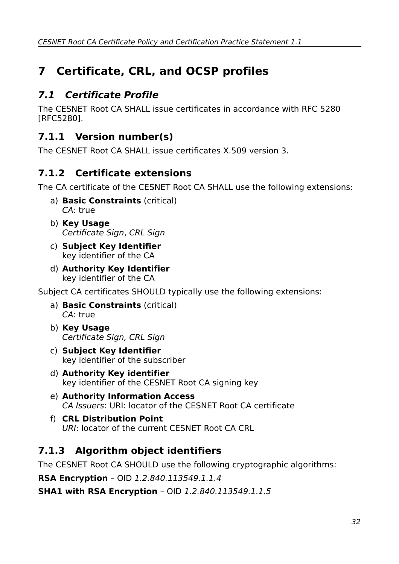# **7 Certificate, CRL, and OCSP profiles**

# **7.1 Certificate Profile**

The CESNET Root CA SHALL issue certificates in accordance with RFC 5280 [RFC5280].

# **7.1.1 Version number(s)**

The CESNET Root CA SHALL issue certificates X.509 version 3.

# **7.1.2 Certificate extensions**

The CA certificate of the CESNET Root CA SHALL use the following extensions:

- a) **Basic Constraints** (critical) CA: true
- b) **Key Usage** Certificate Sign, CRL Sign
- c) **Subject Key Identifier** key identifier of the CA
- d) **Authority Key Identifier** key identifier of the CA

Subject CA certificates SHOULD typically use the following extensions:

- a) **Basic Constraints** (critical) CA: true
- b) **Key Usage** Certificate Sign, CRL Sign
- c) **Subject Key Identifier** key identifier of the subscriber
- d) **Authority Key identifier** key identifier of the CESNET Root CA signing key
- e) **Authority Information Access** CA Issuers: URI: locator of the CESNET Root CA certificate
- f) **CRL Distribution Point** URI: locator of the current CESNET Root CA CRL

# **7.1.3 Algorithm object identifiers**

The CESNET Root CA SHOULD use the following cryptographic algorithms:

**RSA Encryption** – OID 1.2.840.113549.1.1.4

**SHA1 with RSA Encryption** – OID 1.2.840.113549.1.1.5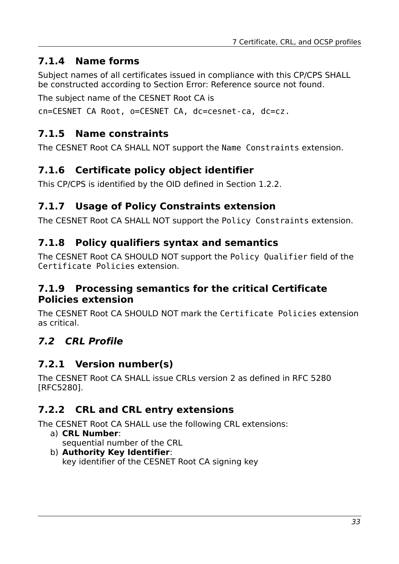# **7.1.4 Name forms**

<span id="page-32-0"></span>Subject names of all certificates issued in compliance with this CP/CPS SHALL be constructed according to Section [Error: Reference source not found.](#page-32-0)

The subject name of the CESNET Root CA is

cn=CESNET CA Root, o=CESNET CA, dc=cesnet-ca, dc=cz.

# **7.1.5 Name constraints**

The CESNET Root CA SHALL NOT support the Name Constraints extension.

# **7.1.6 Certificate policy object identifier**

This CP/CPS is identified by the OID defined in Section [1.2.2.](#page-7-0)

# **7.1.7 Usage of Policy Constraints extension**

The CESNET Root CA SHALL NOT support the Policy Constraints extension.

### **7.1.8 Policy qualifiers syntax and semantics**

The CESNET Root CA SHOULD NOT support the Policy Qualifier field of the Certificate Policies extension.

#### **7.1.9 Processing semantics for the critical Certificate Policies extension**

The CESNET Root CA SHOULD NOT mark the Certificate Policies extension as critical.

# **7.2 CRL Profile**

# **7.2.1 Version number(s)**

The CESNET Root CA SHALL issue CRLs version 2 as defined in RFC 5280 [RFC5280].

# **7.2.2 CRL and CRL entry extensions**

The CESNET Root CA SHALL use the following CRL extensions:

- a) **CRL Number**: sequential number of the CRL
- b) **Authority Key Identifier**: key identifier of the CESNET Root CA signing key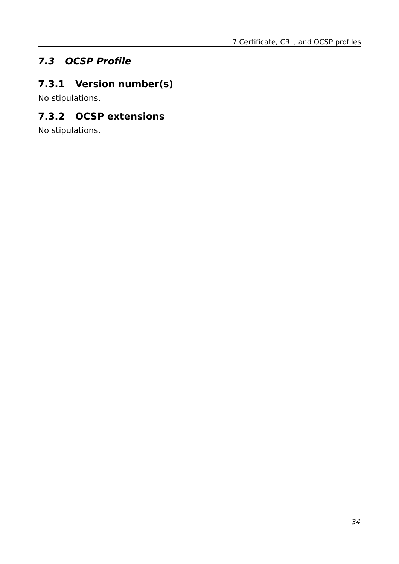# **7.3 OCSP Profile**

# **7.3.1 Version number(s)**

No stipulations.

# **7.3.2 OCSP extensions**

No stipulations.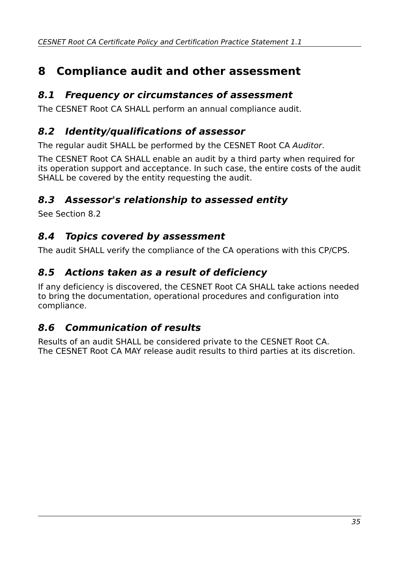# **8 Compliance audit and other assessment**

#### **8.1 Frequency or circumstances of assessment**

The CESNET Root CA SHALL perform an annual compliance audit.

#### <span id="page-34-0"></span>**8.2 Identity/qualifications of assessor**

The regular audit SHALL be performed by the CESNET Root CA Auditor.

The CESNET Root CA SHALL enable an audit by a third party when required for its operation support and acceptance. In such case, the entire costs of the audit SHALL be covered by the entity requesting the audit.

### **8.3 Assessor's relationship to assessed entity**

See Section [8.2](#page-34-0)

#### **8.4 Topics covered by assessment**

The audit SHALL verify the compliance of the CA operations with this CP/CPS.

#### **8.5 Actions taken as a result of deficiency**

If any deficiency is discovered, the CESNET Root CA SHALL take actions needed to bring the documentation, operational procedures and configuration into compliance.

### **8.6 Communication of results**

Results of an audit SHALL be considered private to the CESNET Root CA. The CESNET Root CA MAY release audit results to third parties at its discretion.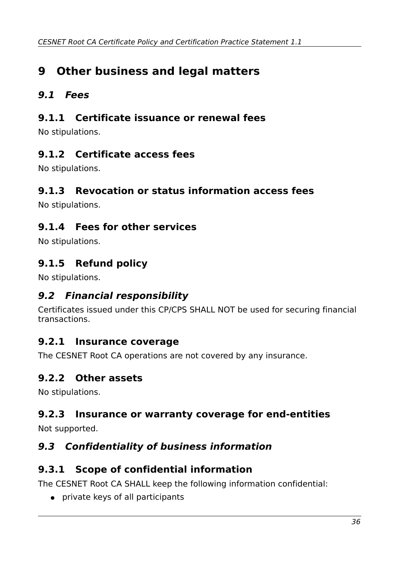# **9 Other business and legal matters**

# **9.1 Fees**

#### **9.1.1 Certificate issuance or renewal fees**

No stipulations.

### **9.1.2 Certificate access fees**

No stipulations.

#### **9.1.3 Revocation or status information access fees**

No stipulations.

### **9.1.4 Fees for other services**

No stipulations.

# **9.1.5 Refund policy**

No stipulations.

### **9.2 Financial responsibility**

Certificates issued under this CP/CPS SHALL NOT be used for securing financial transactions.

#### **9.2.1 Insurance coverage**

The CESNET Root CA operations are not covered by any insurance.

#### **9.2.2 Other assets**

No stipulations.

# **9.2.3 Insurance or warranty coverage for end-entities**

Not supported.

### **9.3 Confidentiality of business information**

### **9.3.1 Scope of confidential information**

The CESNET Root CA SHALL keep the following information confidential:

● private keys of all participants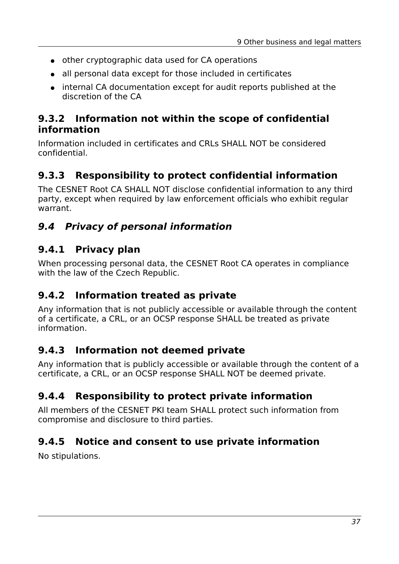- other cryptographic data used for CA operations
- all personal data except for those included in certificates
- internal CA documentation except for audit reports published at the discretion of the CA

#### **9.3.2 Information not within the scope of confidential information**

Information included in certificates and CRLs SHALL NOT be considered confidential.

# **9.3.3 Responsibility to protect confidential information**

The CESNET Root CA SHALL NOT disclose confidential information to any third party, except when required by law enforcement officials who exhibit regular warrant.

# **9.4 Privacy of personal information**

### **9.4.1 Privacy plan**

When processing personal data, the CESNET Root CA operates in compliance with the law of the Czech Republic.

### **9.4.2 Information treated as private**

Any information that is not publicly accessible or available through the content of a certificate, a CRL, or an OCSP response SHALL be treated as private information.

### **9.4.3 Information not deemed private**

Any information that is publicly accessible or available through the content of a certificate, a CRL, or an OCSP response SHALL NOT be deemed private.

# **9.4.4 Responsibility to protect private information**

All members of the CESNET PKI team SHALL protect such information from compromise and disclosure to third parties.

### **9.4.5 Notice and consent to use private information**

No stipulations.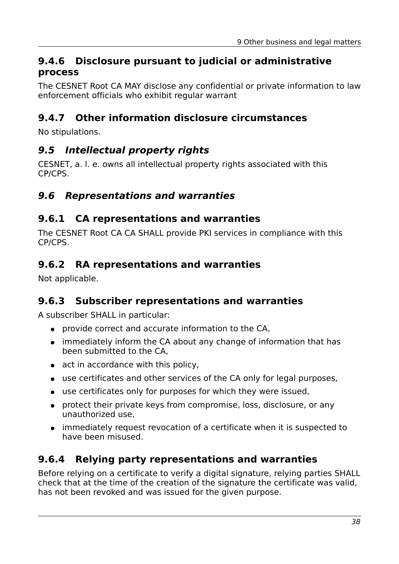#### **9.4.6 Disclosure pursuant to judicial or administrative process**

The CESNET Root CA MAY disclose any confidential or private information to law enforcement officials who exhibit regular warrant

# **9.4.7 Other information disclosure circumstances**

No stipulations.

#### **9.5 Intellectual property rights**

CESNET, a. l. e. owns all intellectual property rights associated with this CP/CPS.

#### **9.6 Representations and warranties**

#### **9.6.1 CA representations and warranties**

The CESNET Root CA CA SHALL provide PKI services in compliance with this CP/CPS.

#### **9.6.2 RA representations and warranties**

Not applicable.

### **9.6.3 Subscriber representations and warranties**

A subscriber SHALL in particular:

- provide correct and accurate information to the CA,
- immediately inform the CA about any change of information that has been submitted to the CA,
- act in accordance with this policy,
- use certificates and other services of the CA only for legal purposes,
- use certificates only for purposes for which they were issued,
- protect their private keys from compromise, loss, disclosure, or any unauthorized use,
- immediately request revocation of a certificate when it is suspected to have been misused.

#### **9.6.4 Relying party representations and warranties**

Before relying on a certificate to verify a digital signature, relying parties SHALL check that at the time of the creation of the signature the certificate was valid, has not been revoked and was issued for the given purpose.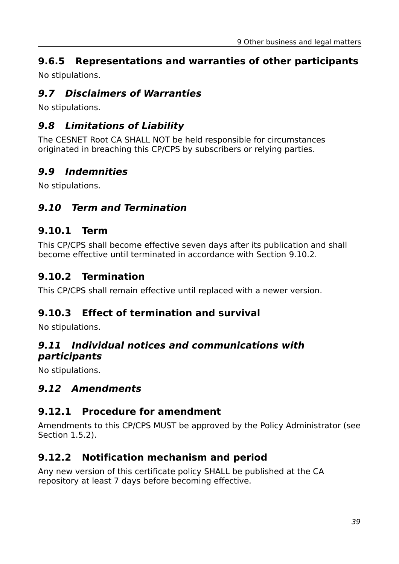# **9.6.5 Representations and warranties of other participants**

No stipulations.

### **9.7 Disclaimers of Warranties**

No stipulations.

# **9.8 Limitations of Liability**

The CESNET Root CA SHALL NOT be held responsible for circumstances originated in breaching this CP/CPS by subscribers or relying parties.

# **9.9 Indemnities**

No stipulations.

# **9.10 Term and Termination**

### **9.10.1 Term**

This CP/CPS shall become effective seven days after its publication and shall become effective until terminated in accordance with Section [9.10.2.](#page-38-0)

# <span id="page-38-0"></span>**9.10.2 Termination**

This CP/CPS shall remain effective until replaced with a newer version.

### **9.10.3 Effect of termination and survival**

No stipulations.

#### **9.11 Individual notices and communications with participants**

No stipulations.

# **9.12 Amendments**

### **9.12.1 Procedure for amendment**

Amendments to this CP/CPS MUST be approved by the Policy Administrator (see Section [1.5.2\)](#page-9-0).

### **9.12.2 Notification mechanism and period**

Any new version of this certificate policy SHALL be published at the CA repository at least 7 days before becoming effective.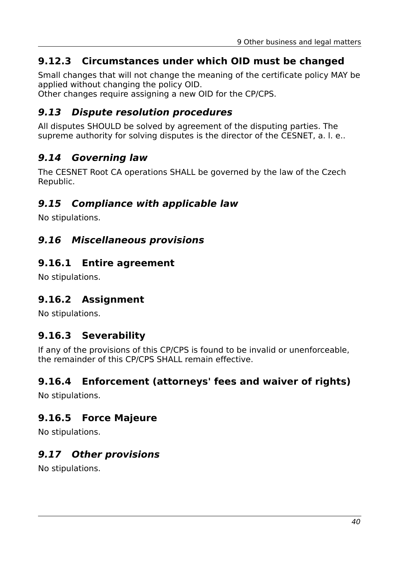# **9.12.3 Circumstances under which OID must be changed**

Small changes that will not change the meaning of the certificate policy MAY be applied without changing the policy OID.

Other changes require assigning a new OID for the CP/CPS.

#### **9.13 Dispute resolution procedures**

All disputes SHOULD be solved by agreement of the disputing parties. The supreme authority for solving disputes is the director of the CESNET, a. l. e..

# **9.14 Governing law**

The CESNET Root CA operations SHALL be governed by the law of the Czech Republic.

# **9.15 Compliance with applicable law**

No stipulations.

### **9.16 Miscellaneous provisions**

#### **9.16.1 Entire agreement**

No stipulations.

### **9.16.2 Assignment**

No stipulations.

### **9.16.3 Severability**

If any of the provisions of this CP/CPS is found to be invalid or unenforceable, the remainder of this CP/CPS SHALL remain effective.

### **9.16.4 Enforcement (attorneys' fees and waiver of rights)**

No stipulations.

### **9.16.5 Force Majeure**

No stipulations.

# **9.17 Other provisions**

No stipulations.